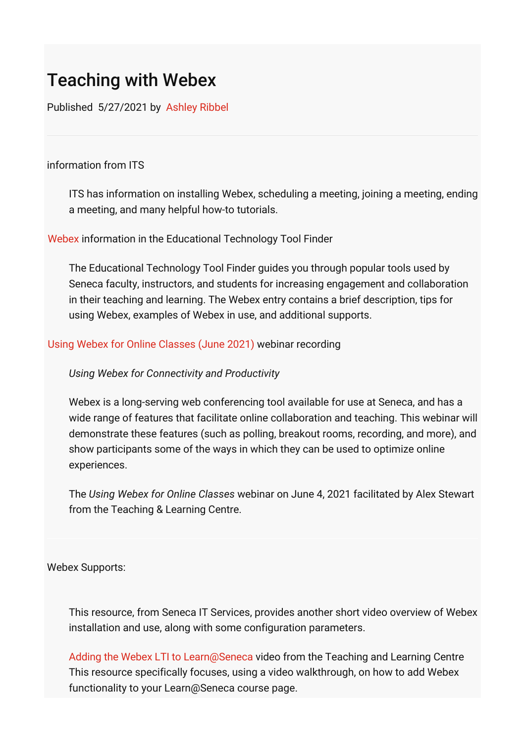# Teaching with Webex

Published 5/27/2021 by [Ashley Ribbel](https://employees.senecacollege.ca/people/ashley-ribbel)

### information from ITS

ITS has information on installing Webex, scheduling a meeting, joining a meeting, ending a meeting, and many helpful how-to tutorials.

### [Webex](https://employees.senecacollege.ca/spaces/35/educational-technology-advisory-committee-etac/wiki/view/9135/webex) information in the Educational Technology Tool Finder

The Educational Technology Tool Finder guides you through popular tools used by Seneca faculty, instructors, and students for increasing engagement and collaboration in their teaching and learning. The Webex entry contains a brief description, tips for using Webex, examples of Webex in use, and additional supports.

### [Using Webex for Online Classes \(June 2021\)](https://employees.senecacollege.ca/spaces/39/the-teaching-learning-centre/videos/ashley.ribbel/instructional/11033/using-webex-for-online-classes-june-2021) webinar recording

# *Using Webex for Connectivity and Productivity*

Webex is a long-serving web conferencing tool available for use at Seneca, and has a wide range of features that facilitate online collaboration and teaching. This webinar will demonstrate these features (such as polling, breakout rooms, recording, and more), and show participants some of the ways in which they can be used to optimize online experiences.

The *Using Webex for Online Classes* webinar on June 4, 2021 facilitated by Alex Stewart from the Teaching & Learning Centre.

#### Webex Supports:

This resource, from Seneca IT Services, provides another short video overview of Webex installation and use, along with some configuration parameters.

[Adding the Webex LTI to Learn@Seneca](https://www.youtube.com/watch?v=dmJcXIRi1Ww) video from the Teaching and Learning Centre This resource specifically focuses, using a video walkthrough, on how to add Webex functionality to your Learn@Seneca course page.